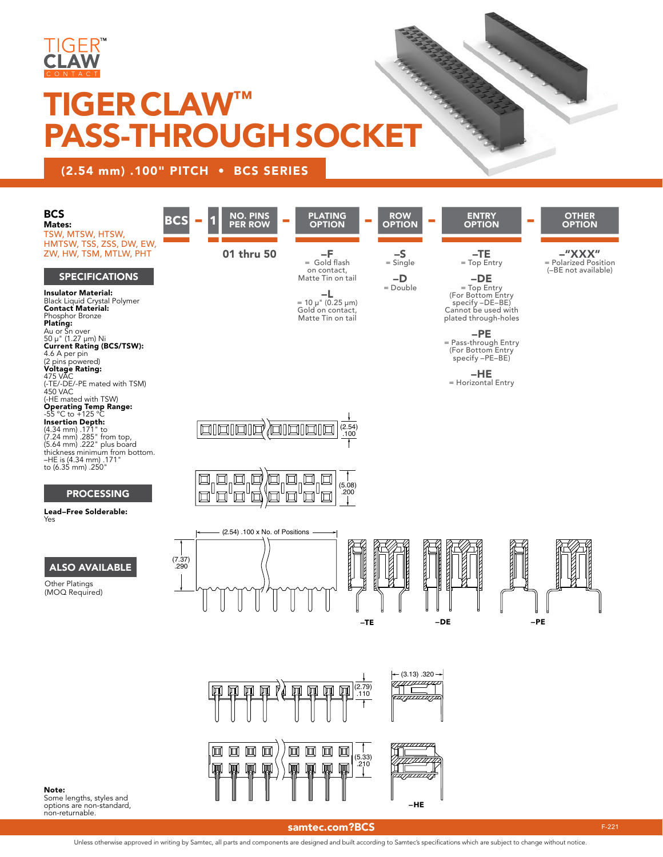

# TIGER CLAW™ PASS-THROUGH SOCKET

### (2.54 mm) .100" PITCH • BCS SERIES



options are non-standard, non-returnable.

#### [samtec.com?BCS](http://www.samtec.com?BCS) F-221

Unless otherwise approved in writing by Samtec, all parts and components are designed and built according to Samtec's specifications which are subject to change without notice.